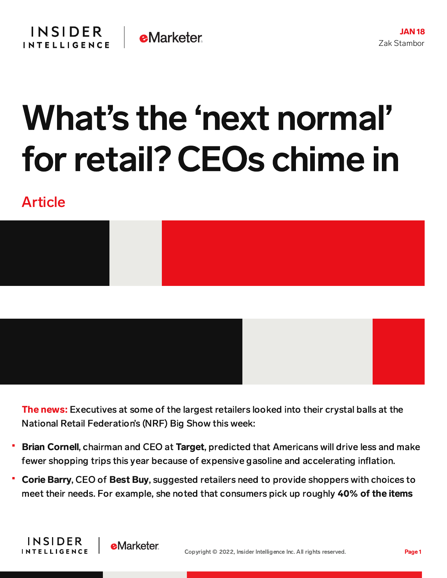## What's the 'next normal' forretail? CEOs chime in

## Article

**INSIDER** 

**INTELLIGENCE** 

**e**Marketer



The news: Executives at some of the largest retailers looked into their crystal balls at the National Retail Federation's (NRF) Big Show this week:

- Brian Cornell, chairman and CEO at Target, predicted that Americans will drive less and make fewer shopping trips this year because of expensive gasoline and accelerating inflation.
- Corie Barry, CEO of Best Buy, suggested retailers need to provide shoppers with choices to meet their needs. For example, she noted that consumers pick up roughly 40% of the items